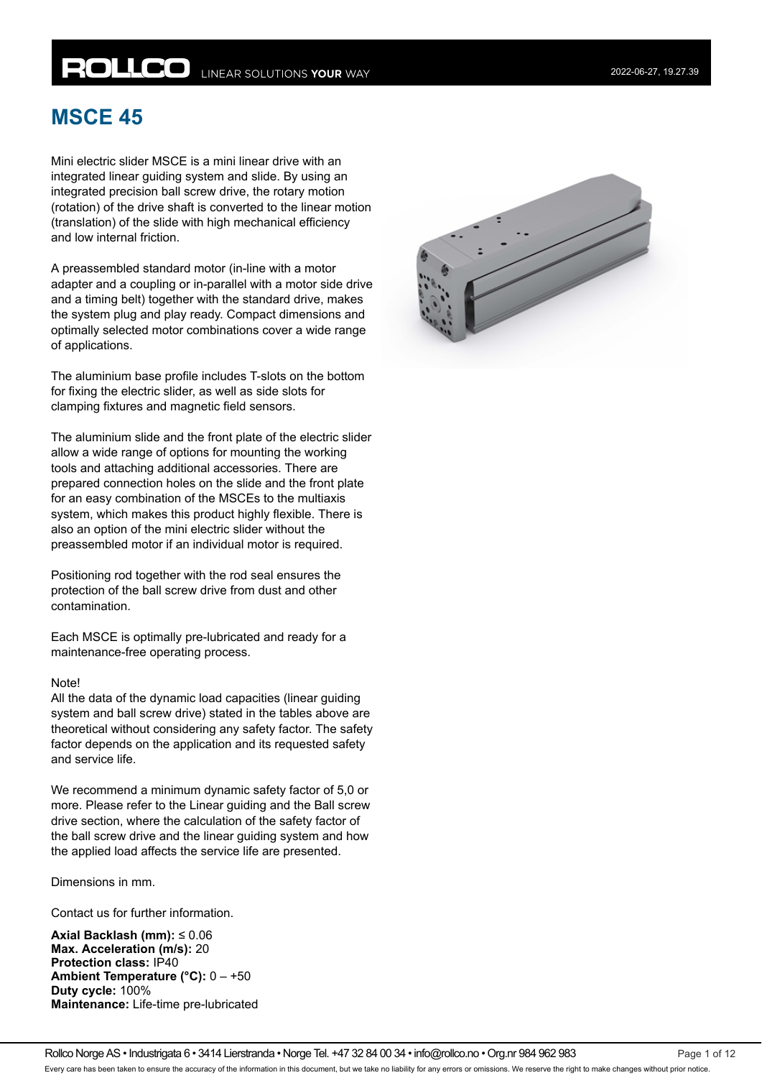# **ROLLCO** LINEAR SOLUTIONS YOUR WAY

## **MSCE 45**

Mini electric slider MSCE is a mini linear drive with an integrated linear guiding system and slide. By using an integrated precision ball screw drive, the rotary motion (rotation) of the drive shaft is converted to the linear motion (translation) of the slide with high mechanical efficiency and low internal friction.

A preassembled standard motor (in-line with a motor adapter and a coupling or in-parallel with a motor side drive and a timing belt) together with the standard drive, makes the system plug and play ready. Compact dimensions and optimally selected motor combinations cover a wide range of applications.

The aluminium base profile includes T-slots on the bottom for fixing the electric slider, as well as side slots for clamping fixtures and magnetic field sensors.

The aluminium slide and the front plate of the electric slider allow a wide range of options for mounting the working tools and attaching additional accessories. There are prepared connection holes on the slide and the front plate for an easy combination of the MSCEs to the multiaxis system, which makes this product highly flexible. There is also an option of the mini electric slider without the preassembled motor if an individual motor is required.

Positioning rod together with the rod seal ensures the protection of the ball screw drive from dust and other contamination.

Each MSCE is optimally pre-lubricated and ready for a maintenance-free operating process.

#### Note!

All the data of the dynamic load capacities (linear guiding system and ball screw drive) stated in the tables above are theoretical without considering any safety factor. The safety factor depends on the application and its requested safety and service life.

We recommend a minimum dynamic safety factor of 5,0 or more. Please refer to the Linear guiding and the Ball screw drive section, where the calculation of the safety factor of the ball screw drive and the linear guiding system and how the applied load affects the service life are presented.

Dimensions in mm.

Contact us for further information.

**Axial Backlash (mm):** ≤ 0.06 **Max. Acceleration (m/s):** 20 **Protection class:** IP40 **Ambient Temperature (°C):** 0 – +50 **Duty cycle:** 100% **Maintenance:** Life-time pre-lubricated

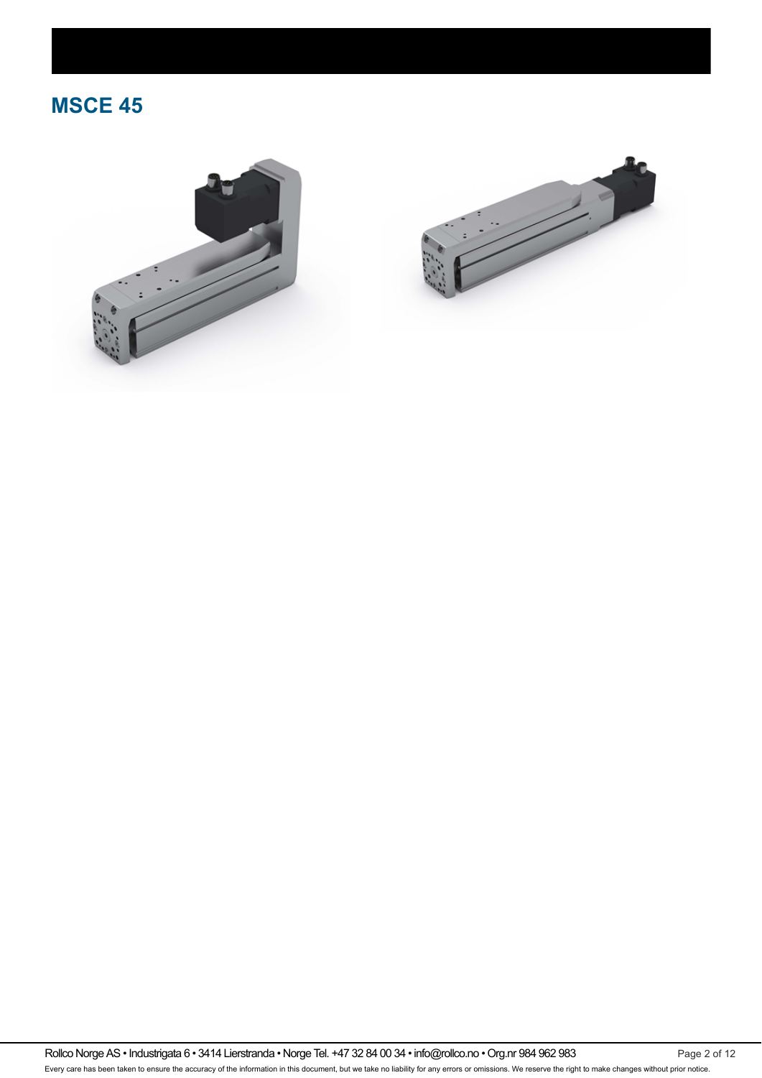# **MSCE 45**





Rollco Norge AS • Industrigata 6 • 3414 Lierstranda • Norge Tel. +47 32 84 00 34 • info@rollco.no • Org.nr 984 962 983 Page 2 of 12 Every care has been taken to ensure the accuracy of the information in this document, but we take no liability for any errors or omissions. We reserve the right to make changes without prior notice.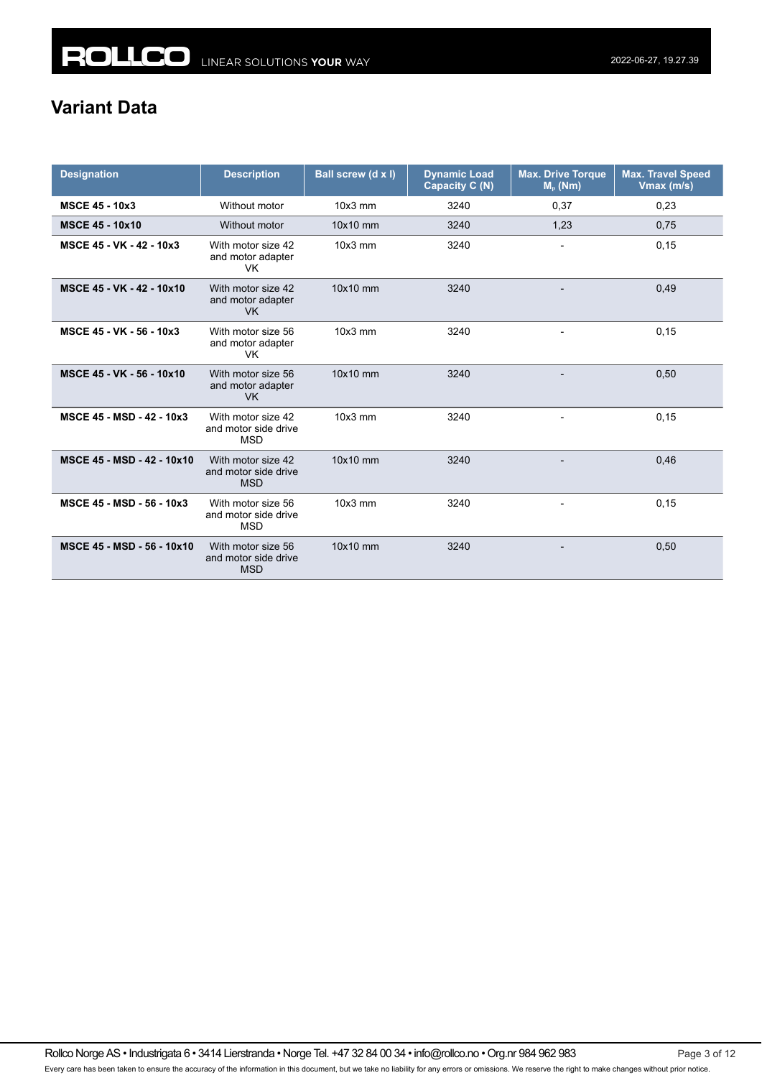### **Variant Data**

| <b>Designation</b>         | <b>Description</b>                                       | Ball screw (d x l) | <b>Dynamic Load</b><br>Capacity C (N) | <b>Max. Drive Torque</b><br>$Mp$ (Nm) | <b>Max. Travel Speed</b><br>Vmax (m/s) |
|----------------------------|----------------------------------------------------------|--------------------|---------------------------------------|---------------------------------------|----------------------------------------|
| <b>MSCE 45 - 10x3</b>      | Without motor                                            | $10x3$ mm          | 3240                                  | 0,37                                  | 0,23                                   |
| <b>MSCE 45 - 10x10</b>     | Without motor                                            | 10x10 mm           | 3240                                  | 1,23                                  | 0,75                                   |
| MSCE 45 - VK - 42 - 10x3   | With motor size 42<br>and motor adapter<br>VK.           | $10x3$ mm          | 3240                                  | $\overline{a}$                        | 0,15                                   |
| MSCE 45 - VK - 42 - 10x10  | With motor size 42<br>and motor adapter<br>VK.           | 10x10 mm           | 3240                                  | $\overline{a}$                        | 0,49                                   |
| MSCE 45 - VK - 56 - 10x3   | With motor size 56<br>and motor adapter<br>VK.           | $10x3$ mm          | 3240                                  | $\overline{a}$                        | 0,15                                   |
| MSCE 45 - VK - 56 - 10x10  | With motor size 56<br>and motor adapter<br><b>VK</b>     | 10x10 mm           | 3240                                  |                                       | 0,50                                   |
| MSCE 45 - MSD - 42 - 10x3  | With motor size 42<br>and motor side drive<br><b>MSD</b> | $10x3$ mm          | 3240                                  |                                       | 0, 15                                  |
| MSCE 45 - MSD - 42 - 10x10 | With motor size 42<br>and motor side drive<br><b>MSD</b> | 10x10 mm           | 3240                                  |                                       | 0,46                                   |
| MSCE 45 - MSD - 56 - 10x3  | With motor size 56<br>and motor side drive<br><b>MSD</b> | $10x3$ mm          | 3240                                  |                                       | 0, 15                                  |
| MSCE 45 - MSD - 56 - 10x10 | With motor size 56<br>and motor side drive<br><b>MSD</b> | 10x10 mm           | 3240                                  |                                       | 0,50                                   |

Rollco Norge AS • Industrigata 6 • 3414 Lierstranda • Norge Tel. +47 32 84 00 34 • info@rollco.no • Org.nr 984 962 983 Page 3 of 12 Every care has been taken to ensure the accuracy of the information in this document, but we take no liability for any errors or omissions. We reserve the right to make changes without prior notice.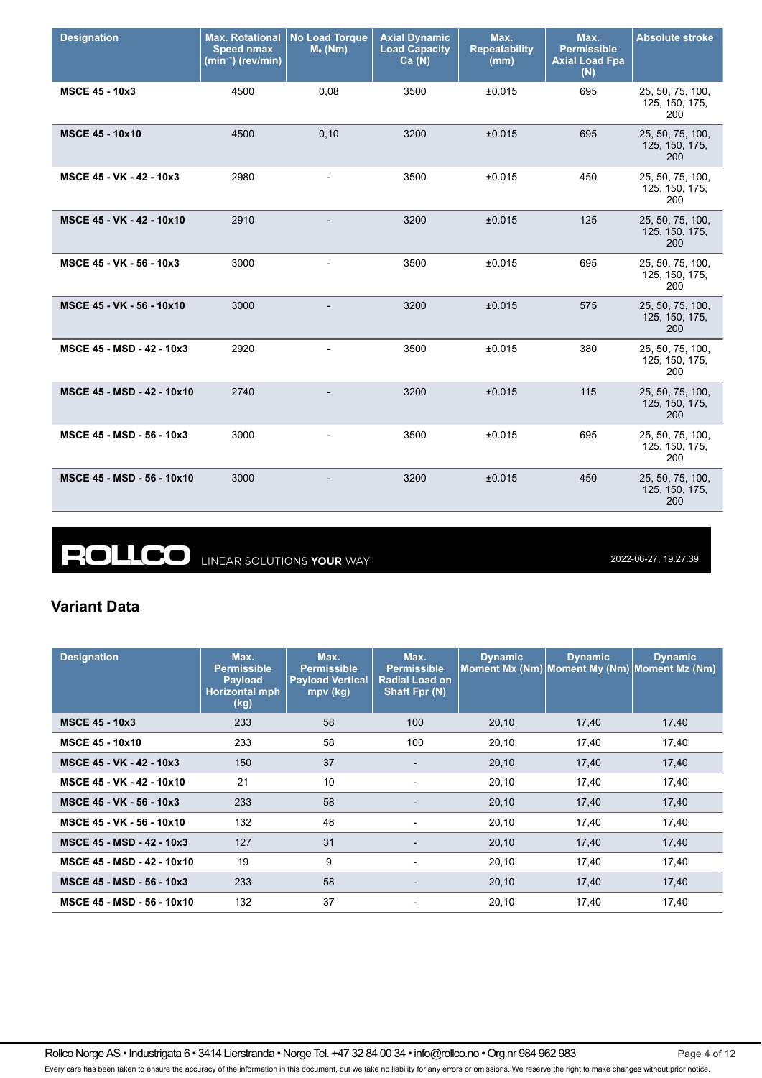| <b>Designation</b>         | <b>Max. Rotational</b><br><b>Speed nmax</b><br>$(min^{-1})$ (rev/min) | <b>No Load Torque</b><br>$M0$ (Nm) | <b>Axial Dynamic</b><br><b>Load Capacity</b><br>Ca(N) | Max.<br><b>Repeatability</b><br>(mm) | Max.<br><b>Permissible</b><br><b>Axial Load Fpa</b><br>(N) | <b>Absolute stroke</b>                    |
|----------------------------|-----------------------------------------------------------------------|------------------------------------|-------------------------------------------------------|--------------------------------------|------------------------------------------------------------|-------------------------------------------|
| <b>MSCE 45 - 10x3</b>      | 4500                                                                  | 0,08                               | 3500                                                  | ±0.015                               | 695                                                        | 25, 50, 75, 100,<br>125, 150, 175,<br>200 |
| <b>MSCE 45 - 10x10</b>     | 4500                                                                  | 0,10                               | 3200                                                  | ±0.015                               | 695                                                        | 25, 50, 75, 100,<br>125, 150, 175,<br>200 |
| MSCE 45 - VK - 42 - 10x3   | 2980                                                                  |                                    | 3500                                                  | ±0.015                               | 450                                                        | 25, 50, 75, 100,<br>125, 150, 175,<br>200 |
| MSCE 45 - VK - 42 - 10x10  | 2910                                                                  |                                    | 3200                                                  | ±0.015                               | 125                                                        | 25, 50, 75, 100,<br>125, 150, 175,<br>200 |
| MSCE 45 - VK - 56 - 10x3   | 3000                                                                  | $\overline{\phantom{a}}$           | 3500                                                  | ±0.015                               | 695                                                        | 25, 50, 75, 100,<br>125, 150, 175,<br>200 |
| MSCE 45 - VK - 56 - 10x10  | 3000                                                                  |                                    | 3200                                                  | ±0.015                               | 575                                                        | 25, 50, 75, 100,<br>125, 150, 175,<br>200 |
| MSCE 45 - MSD - 42 - 10x3  | 2920                                                                  |                                    | 3500                                                  | ±0.015                               | 380                                                        | 25, 50, 75, 100,<br>125, 150, 175,<br>200 |
| MSCE 45 - MSD - 42 - 10x10 | 2740                                                                  |                                    | 3200                                                  | ±0.015                               | 115                                                        | 25, 50, 75, 100,<br>125, 150, 175,<br>200 |
| MSCE 45 - MSD - 56 - 10x3  | 3000                                                                  | $\overline{\phantom{a}}$           | 3500                                                  | ±0.015                               | 695                                                        | 25, 50, 75, 100,<br>125, 150, 175,<br>200 |
| MSCE 45 - MSD - 56 - 10x10 | 3000                                                                  |                                    | 3200                                                  | ±0.015                               | 450                                                        | 25, 50, 75, 100,<br>125, 150, 175,<br>200 |

**ROLLCO** LINEAR SOLUTIONS YOUR WAY

2022-06-27, 19.27.39

### **Variant Data**

| <b>Designation</b>               | Max.<br><b>Permissible</b><br><b>Payload</b><br><b>Horizontal mph</b><br>(kg) | Max.<br><b>Permissible</b><br><b>Payload Vertical</b><br>$mpv$ (kg) | Max.<br><b>Permissible</b><br><b>Radial Load on</b><br>Shaft Fpr (N) | <b>Dynamic</b> | <b>Dynamic</b><br>Moment Mx (Nm) Moment My (Nm) Moment Mz (Nm) | <b>Dynamic</b> |
|----------------------------------|-------------------------------------------------------------------------------|---------------------------------------------------------------------|----------------------------------------------------------------------|----------------|----------------------------------------------------------------|----------------|
| <b>MSCE 45 - 10x3</b>            | 233                                                                           | 58                                                                  | 100                                                                  | 20,10          | 17,40                                                          | 17,40          |
| <b>MSCE 45 - 10x10</b>           | 233                                                                           | 58                                                                  | 100                                                                  | 20,10          | 17,40                                                          | 17,40          |
| MSCE 45 - VK - 42 - 10x3         | 150                                                                           | 37                                                                  | ٠                                                                    | 20,10          | 17,40                                                          | 17,40          |
| MSCE 45 - VK - 42 - 10x10        | 21                                                                            | 10                                                                  | $\overline{\phantom{a}}$                                             | 20,10          | 17,40                                                          | 17,40          |
| MSCE 45 - VK - 56 - 10x3         | 233                                                                           | 58                                                                  | $\overline{\phantom{0}}$                                             | 20,10          | 17,40                                                          | 17,40          |
| MSCE 45 - VK - 56 - 10x10        | 132                                                                           | 48                                                                  | $\overline{\phantom{0}}$                                             | 20,10          | 17,40                                                          | 17,40          |
| MSCE 45 - MSD - 42 - 10x3        | 127                                                                           | 31                                                                  | $\overline{\phantom{a}}$                                             | 20,10          | 17,40                                                          | 17,40          |
| MSCE 45 - MSD - 42 - 10x10       | 19                                                                            | 9                                                                   | $\overline{\phantom{a}}$                                             | 20,10          | 17,40                                                          | 17,40          |
| <b>MSCE 45 - MSD - 56 - 10x3</b> | 233                                                                           | 58                                                                  | $\overline{\phantom{a}}$                                             | 20,10          | 17,40                                                          | 17,40          |
| MSCE 45 - MSD - 56 - 10x10       | 132                                                                           | 37                                                                  | $\overline{\phantom{0}}$                                             | 20,10          | 17.40                                                          | 17.40          |

Rollco Norge AS • Industrigata 6 • 3414 Lierstranda • Norge Tel. +47 32 84 00 34 • info@rollco.no • Org.nr 984 962 983 Page 4 of 12 Every care has been taken to ensure the accuracy of the information in this document, but we take no liability for any errors or omissions. We reserve the right to make changes without prior notice.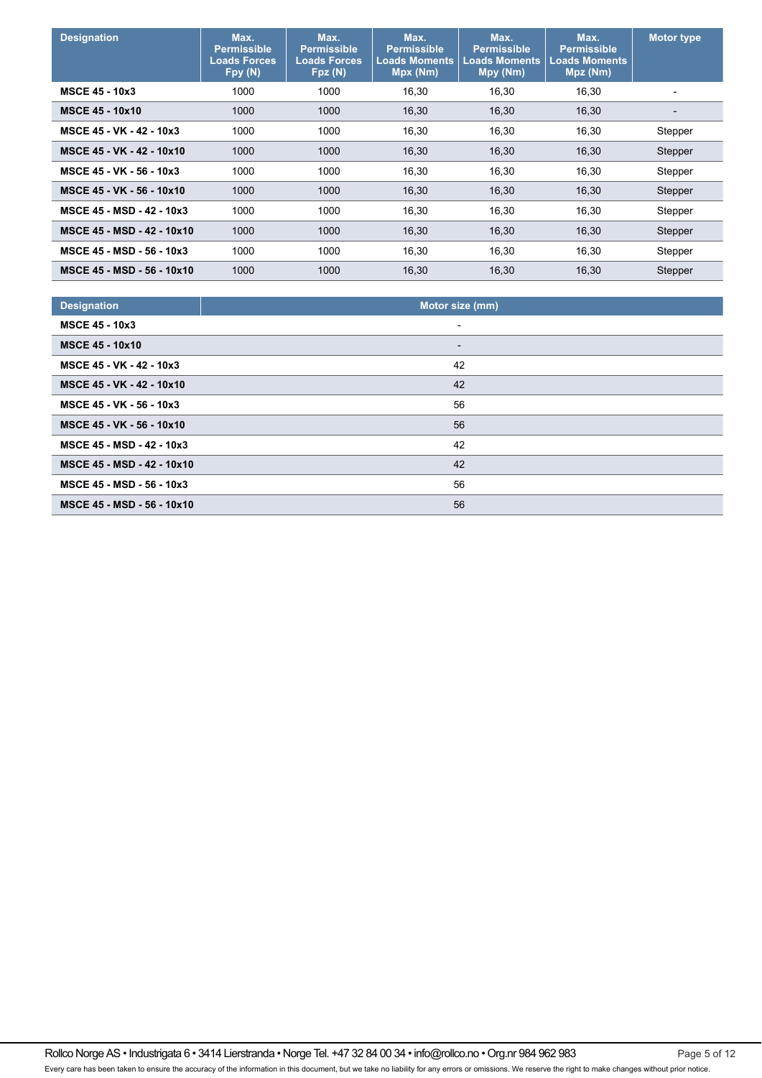| <b>Designation</b>                | Max.<br><b>Permissible</b><br><b>Loads Forces</b><br>Fpy (N) | Max.<br><b>Permissible</b><br><b>Loads Forces</b><br>Fpz (N) | Max.<br><b>Permissible</b><br><b>Loads Moments</b><br>Mpx (Nm) | Max.<br><b>Permissible</b><br><b>Loads Moments</b><br>Mpy (Nm) | Max.<br><b>Permissible</b><br><b>Loads Moments</b><br>Mpz (Nm) | <b>Motor type</b>        |
|-----------------------------------|--------------------------------------------------------------|--------------------------------------------------------------|----------------------------------------------------------------|----------------------------------------------------------------|----------------------------------------------------------------|--------------------------|
| <b>MSCE 45 - 10x3</b>             | 1000                                                         | 1000                                                         | 16,30                                                          | 16,30                                                          | 16,30                                                          | -                        |
| <b>MSCE 45 - 10x10</b>            | 1000                                                         | 1000                                                         | 16,30                                                          | 16,30                                                          | 16,30                                                          | $\overline{\phantom{0}}$ |
| MSCE 45 - VK - 42 - 10x3          | 1000                                                         | 1000                                                         | 16,30                                                          | 16,30                                                          | 16,30                                                          | Stepper                  |
| MSCE 45 - VK - 42 - 10x10         | 1000                                                         | 1000                                                         | 16,30                                                          | 16,30                                                          | 16,30                                                          | Stepper                  |
| MSCE 45 - VK - 56 - 10x3          | 1000                                                         | 1000                                                         | 16,30                                                          | 16,30                                                          | 16,30                                                          | Stepper                  |
| MSCE 45 - VK - 56 - 10x10         | 1000                                                         | 1000                                                         | 16,30                                                          | 16,30                                                          | 16,30                                                          | Stepper                  |
| <b>MSCE 45 - MSD - 42 - 10x3</b>  | 1000                                                         | 1000                                                         | 16,30                                                          | 16,30                                                          | 16,30                                                          | Stepper                  |
| <b>MSCE 45 - MSD - 42 - 10x10</b> | 1000                                                         | 1000                                                         | 16,30                                                          | 16,30                                                          | 16,30                                                          | Stepper                  |
| MSCE 45 - MSD - 56 - 10x3         | 1000                                                         | 1000                                                         | 16,30                                                          | 16,30                                                          | 16,30                                                          | Stepper                  |
| MSCE 45 - MSD - 56 - 10x10        | 1000                                                         | 1000                                                         | 16,30                                                          | 16,30                                                          | 16,30                                                          | Stepper                  |

| <b>Designation</b>         | Motor size (mm)          |
|----------------------------|--------------------------|
| <b>MSCE 45 - 10x3</b>      | $\blacksquare$           |
| <b>MSCE 45 - 10x10</b>     | $\overline{\phantom{a}}$ |
| MSCE 45 - VK - 42 - 10x3   | 42                       |
| MSCE 45 - VK - 42 - 10x10  | 42                       |
| MSCE 45 - VK - 56 - 10x3   | 56                       |
| MSCE 45 - VK - 56 - 10x10  | 56                       |
| MSCE 45 - MSD - 42 - 10x3  | 42                       |
| MSCE 45 - MSD - 42 - 10x10 | 42                       |
| MSCE 45 - MSD - 56 - 10x3  | 56                       |
| MSCE 45 - MSD - 56 - 10x10 | 56                       |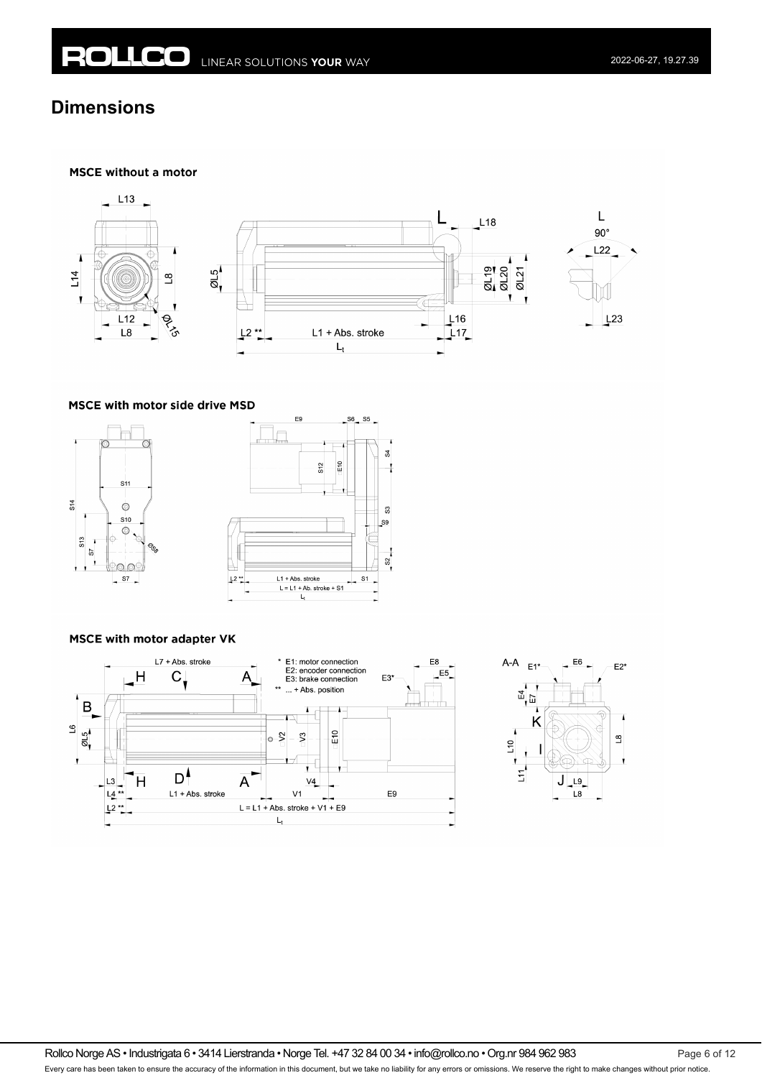#### **MSCE without a motor**



#### MSCE with motor side drive MSD





#### **MSCE with motor adapter VK**





Rollco Norge AS • Industrigata 6 • 3414 Lierstranda • Norge Tel. +47 32 84 00 34 • info@rollco.no • Org.nr 984 962 983 Page 6 of 12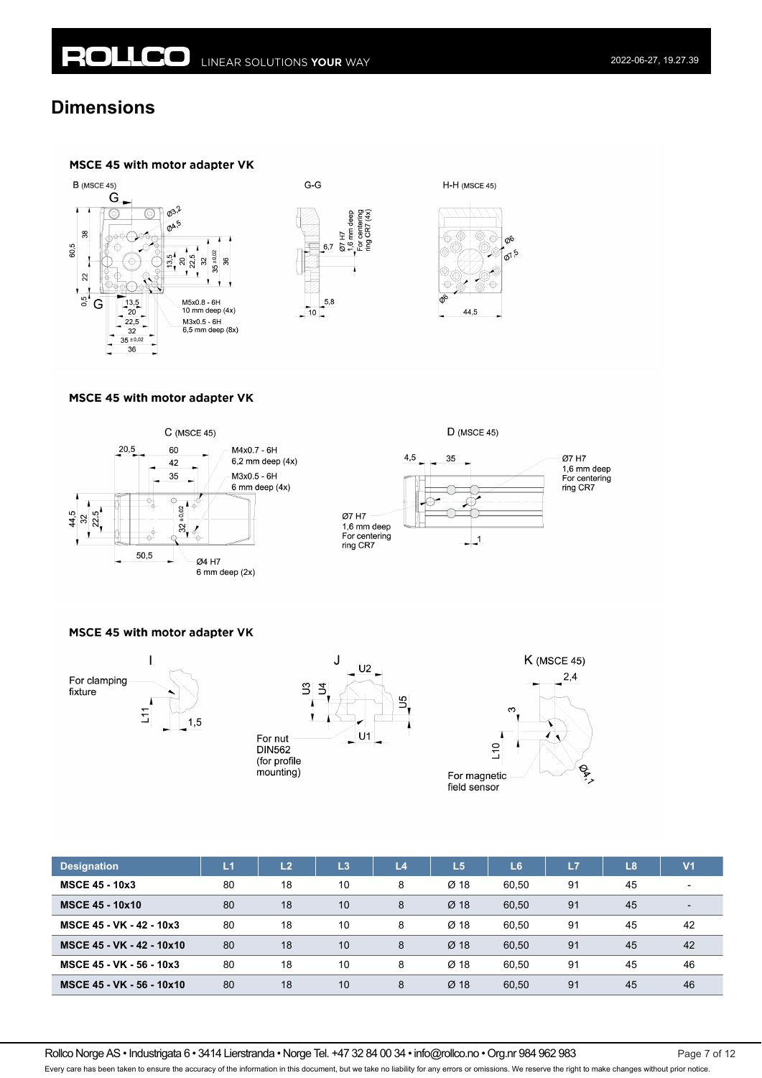



### MSCE 45 with motor adapter VK



#### MSCE 45 with motor adapter VK







| <b>Designation</b>        | L1 | L <sub>2</sub> | L <sub>3</sub> | L <sub>4</sub> | $\overline{1.5}$ | L <sub>6</sub> | L7 | L8 | V <sub>1</sub>           |
|---------------------------|----|----------------|----------------|----------------|------------------|----------------|----|----|--------------------------|
| <b>MSCE 45 - 10x3</b>     | 80 | 18             | 10             | 8              | $Ø$ 18           | 60.50          | 91 | 45 | $\overline{\phantom{a}}$ |
| <b>MSCE 45 - 10x10</b>    | 80 | 18             | 10             | 8              | $Ø$ 18           | 60,50          | 91 | 45 | $\overline{\phantom{0}}$ |
| MSCE 45 - VK - 42 - 10x3  | 80 | 18             | 10             | 8              | $Ø$ 18           | 60.50          | 91 | 45 | 42                       |
| MSCE 45 - VK - 42 - 10x10 | 80 | 18             | 10             | 8              | $Ø$ 18           | 60.50          | 91 | 45 | 42                       |
| MSCE 45 - VK - 56 - 10x3  | 80 | 18             | 10             | 8              | $Ø$ 18           | 60.50          | 91 | 45 | 46                       |
| MSCE 45 - VK - 56 - 10x10 | 80 | 18             | 10             | 8              | $Ø$ 18           | 60.50          | 91 | 45 | 46                       |

Every care has been taken to ensure the accuracy of the information in this document, but we take no liability for any errors or omissions. We reserve the right to make changes without prior notice.

Rollco Norge AS • Industrigata 6 • 3414 Lierstranda • Norge Tel. +47 32 84 00 34 • info@rollco.no • Org.nr 984 962 983 Page 7 of 12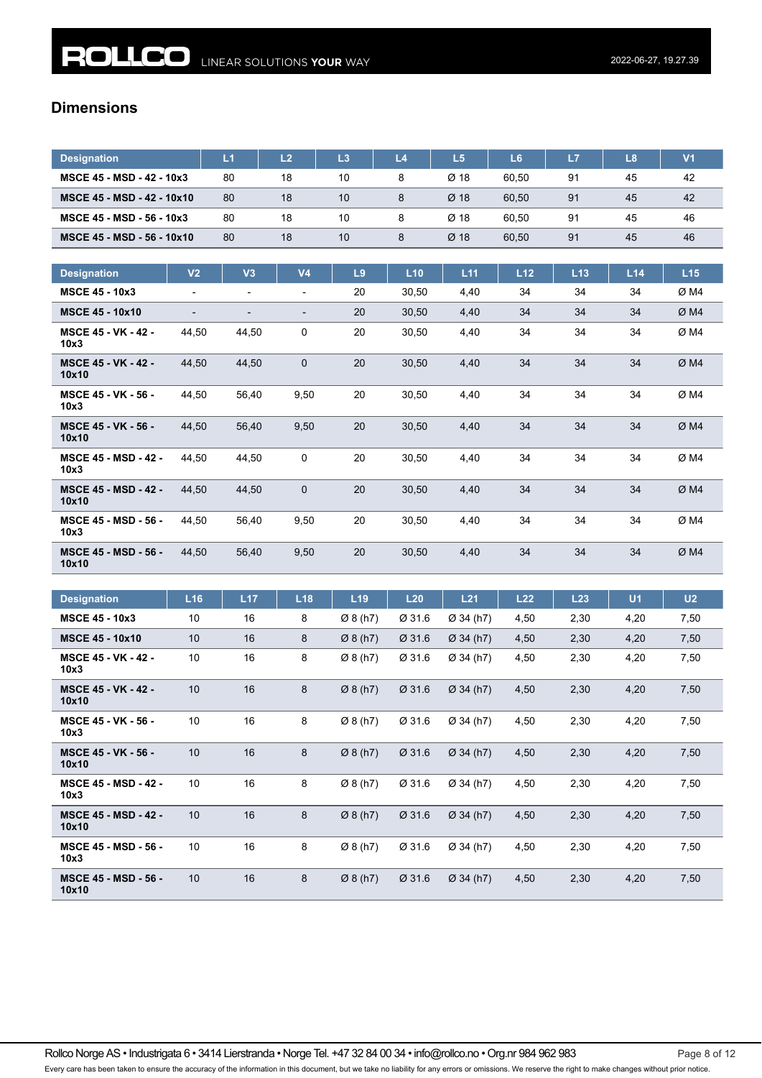| <b>Designation</b>                | L1 | L <sub>2</sub> | L3 | L4 | L5     | L <sub>6</sub> | L7 | L8 | $\mathsf{V}$ 1 |
|-----------------------------------|----|----------------|----|----|--------|----------------|----|----|----------------|
| MSCE 45 - MSD - 42 - 10x3         | 80 | 18             | 10 |    | $Ø$ 18 | 60.50          | 91 | 45 | 42             |
| <b>MSCE 45 - MSD - 42 - 10x10</b> | 80 | 18             | 10 |    | $Ø$ 18 | 60.50          | 91 | 45 | 42             |
| MSCE 45 - MSD - 56 - 10x3         | 80 | 18             | 10 |    | $Ø$ 18 | 60.50          | 91 | 45 | 46             |
| MSCE 45 - MSD - 56 - 10x10        | 80 | 18             | 10 |    | $Ø$ 18 | 60.50          | 91 | 45 | 46             |

| <b>Designation</b>                   | V <sub>2</sub> | V <sub>3</sub>           | V <sub>4</sub> | L9 | L10   | L11  | L12 | L13 | L14 | L15  |
|--------------------------------------|----------------|--------------------------|----------------|----|-------|------|-----|-----|-----|------|
| <b>MSCE 45 - 10x3</b>                | ۰              | $\blacksquare$           | -              | 20 | 30,50 | 4,40 | 34  | 34  | 34  | Ø M4 |
| <b>MSCE 45 - 10x10</b>               | ۰              | $\overline{\phantom{0}}$ | -              | 20 | 30,50 | 4,40 | 34  | 34  | 34  | ØM4  |
| <b>MSCE 45 - VK - 42 -</b><br>10x3   | 44,50          | 44,50                    | 0              | 20 | 30,50 | 4,40 | 34  | 34  | 34  | ØM4  |
| <b>MSCE 45 - VK - 42 -</b><br>10x10  | 44,50          | 44,50                    | $\mathbf 0$    | 20 | 30,50 | 4,40 | 34  | 34  | 34  | ØM4  |
| <b>MSCE 45 - VK - 56 -</b><br>10x3   | 44,50          | 56,40                    | 9,50           | 20 | 30,50 | 4,40 | 34  | 34  | 34  | ØM4  |
| <b>MSCE 45 - VK - 56 -</b><br>10x10  | 44,50          | 56,40                    | 9,50           | 20 | 30,50 | 4,40 | 34  | 34  | 34  | ØM4  |
| <b>MSCE 45 - MSD - 42 -</b><br>10x3  | 44,50          | 44,50                    | 0              | 20 | 30,50 | 4,40 | 34  | 34  | 34  | ØM4  |
| <b>MSCE 45 - MSD - 42 -</b><br>10x10 | 44,50          | 44,50                    | $\mathbf 0$    | 20 | 30,50 | 4,40 | 34  | 34  | 34  | ØM4  |
| <b>MSCE 45 - MSD - 56 -</b><br>10x3  | 44,50          | 56,40                    | 9,50           | 20 | 30,50 | 4,40 | 34  | 34  | 34  | ØM4  |
| <b>MSCE 45 - MSD - 56 -</b><br>10x10 | 44.50          | 56,40                    | 9,50           | 20 | 30,50 | 4,40 | 34  | 34  | 34  | ØM4  |

| <b>Designation</b>                   | L16 | L17 | L18 | L19                  | L20    | L21                   | L22  | L23  | U <sub>1</sub> | U <sub>2</sub> |
|--------------------------------------|-----|-----|-----|----------------------|--------|-----------------------|------|------|----------------|----------------|
| <b>MSCE 45 - 10x3</b>                | 10  | 16  | 8   | Ø8(h7)               | Ø 31.6 | Ø 34(h7)              | 4,50 | 2,30 | 4,20           | 7,50           |
| <b>MSCE 45 - 10x10</b>               | 10  | 16  | 8   | $\varnothing$ 8 (h7) | Ø 31.6 | Ø 34(h7)              | 4,50 | 2,30 | 4,20           | 7,50           |
| <b>MSCE 45 - VK - 42 -</b><br>10x3   | 10  | 16  | 8   | Ø8(h7)               | Ø 31.6 | Ø 34(h7)              | 4,50 | 2,30 | 4,20           | 7,50           |
| <b>MSCE 45 - VK - 42 -</b><br>10x10  | 10  | 16  | 8   | $\varnothing$ 8 (h7) | Ø 31.6 | $\varnothing$ 34 (h7) | 4,50 | 2,30 | 4,20           | 7,50           |
| <b>MSCE 45 - VK - 56 -</b><br>10x3   | 10  | 16  | 8   | Ø8(h7)               | Ø 31.6 | Ø 34(h7)              | 4,50 | 2,30 | 4,20           | 7,50           |
| <b>MSCE 45 - VK - 56 -</b><br>10x10  | 10  | 16  | 8   | $\varnothing$ 8 (h7) | Ø 31.6 | $Ø$ 34 (h7)           | 4,50 | 2,30 | 4,20           | 7,50           |
| <b>MSCE 45 - MSD - 42 -</b><br>10x3  | 10  | 16  | 8   | Ø 8(h7)              | Ø 31.6 | Ø 34(h7)              | 4,50 | 2,30 | 4,20           | 7,50           |
| <b>MSCE 45 - MSD - 42 -</b><br>10x10 | 10  | 16  | 8   | Ø8(h7)               | Ø 31.6 | $Ø$ 34 (h7)           | 4,50 | 2,30 | 4,20           | 7,50           |
| <b>MSCE 45 - MSD - 56 -</b><br>10x3  | 10  | 16  | 8   | $\varnothing$ 8 (h7) | Ø 31.6 | Ø 34 (h7)             | 4,50 | 2,30 | 4,20           | 7,50           |
| <b>MSCE 45 - MSD - 56 -</b><br>10x10 | 10  | 16  | 8   | Ø 8(h7)              | Ø 31.6 | $Ø$ 34 (h7)           | 4,50 | 2,30 | 4,20           | 7,50           |

Rollco Norge AS • Industrigata 6 • 3414 Lierstranda • Norge Tel. +47 32 84 00 34 • info@rollco.no • Org.nr 984 962 983 Page 8 of 12 Every care has been taken to ensure the accuracy of the information in this document, but we take no liability for any errors or omissions. We reserve the right to make changes without prior notice.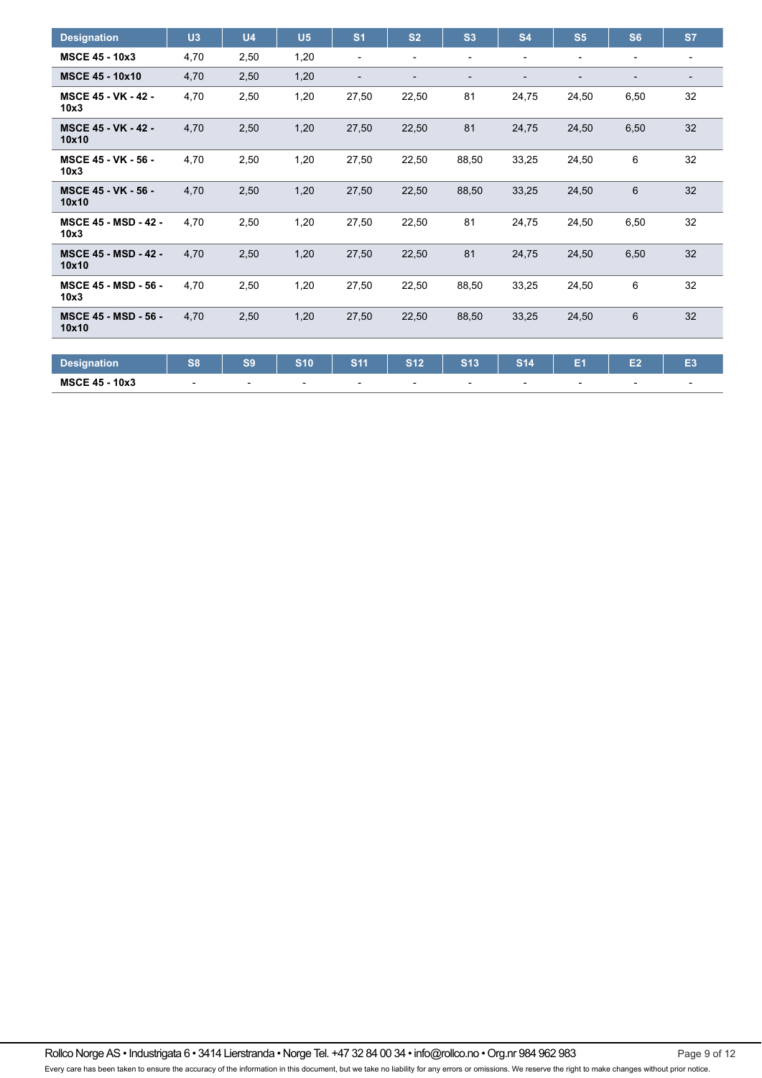| <b>Designation</b>                   | U3             | U <sub>4</sub> | U <sub>5</sub> | S <sub>1</sub> | S <sub>2</sub> | S <sub>3</sub> | <b>S4</b>                | S <sub>5</sub>           | S <sub>6</sub>           | S7                       |
|--------------------------------------|----------------|----------------|----------------|----------------|----------------|----------------|--------------------------|--------------------------|--------------------------|--------------------------|
| <b>MSCE 45 - 10x3</b>                | 4,70           | 2,50           | 1,20           | $\overline{a}$ | -              | -              | $\overline{\phantom{a}}$ | $\overline{\phantom{a}}$ | $\overline{\phantom{a}}$ | $\overline{\phantom{0}}$ |
| <b>MSCE 45 - 10x10</b>               | 4,70           | 2,50           | 1,20           | $\overline{a}$ |                | ۳              |                          | -                        |                          | $\overline{\phantom{0}}$ |
| <b>MSCE 45 - VK - 42 -</b><br>10x3   | 4,70           | 2,50           | 1,20           | 27,50          | 22,50          | 81             | 24,75                    | 24,50                    | 6,50                     | 32                       |
| <b>MSCE 45 - VK - 42 -</b><br>10x10  | 4,70           | 2,50           | 1,20           | 27,50          | 22,50          | 81             | 24,75                    | 24,50                    | 6,50                     | 32                       |
| <b>MSCE 45 - VK - 56 -</b><br>10x3   | 4,70           | 2,50           | 1,20           | 27,50          | 22,50          | 88,50          | 33,25                    | 24,50                    | 6                        | 32                       |
| <b>MSCE 45 - VK - 56 -</b><br>10x10  | 4,70           | 2,50           | 1,20           | 27,50          | 22,50          | 88,50          | 33,25                    | 24,50                    | $6\phantom{1}6$          | 32                       |
| <b>MSCE 45 - MSD - 42 -</b><br>10x3  | 4,70           | 2,50           | 1,20           | 27,50          | 22,50          | 81             | 24,75                    | 24,50                    | 6,50                     | 32                       |
| <b>MSCE 45 - MSD - 42 -</b><br>10x10 | 4.70           | 2,50           | 1,20           | 27,50          | 22,50          | 81             | 24,75                    | 24,50                    | 6,50                     | 32                       |
| <b>MSCE 45 - MSD - 56 -</b><br>10x3  | 4.70           | 2,50           | 1,20           | 27,50          | 22,50          | 88,50          | 33,25                    | 24,50                    | 6                        | 32                       |
| <b>MSCE 45 - MSD - 56 -</b><br>10x10 | 4,70           | 2,50           | 1,20           | 27,50          | 22,50          | 88,50          | 33,25                    | 24,50                    | 6                        | 32                       |
|                                      |                |                |                |                |                |                |                          |                          |                          |                          |
| <b>Designation</b>                   | S <sub>8</sub> | S <sub>9</sub> | <b>S10</b>     | <b>S11</b>     | <b>S12</b>     | <b>S13</b>     | <b>S14</b>               | E <sub>1</sub>           | E2                       | E <sub>3</sub>           |
| <b>MSCE 45 - 10x3</b>                |                |                |                |                |                | $\blacksquare$ |                          | ٠                        |                          |                          |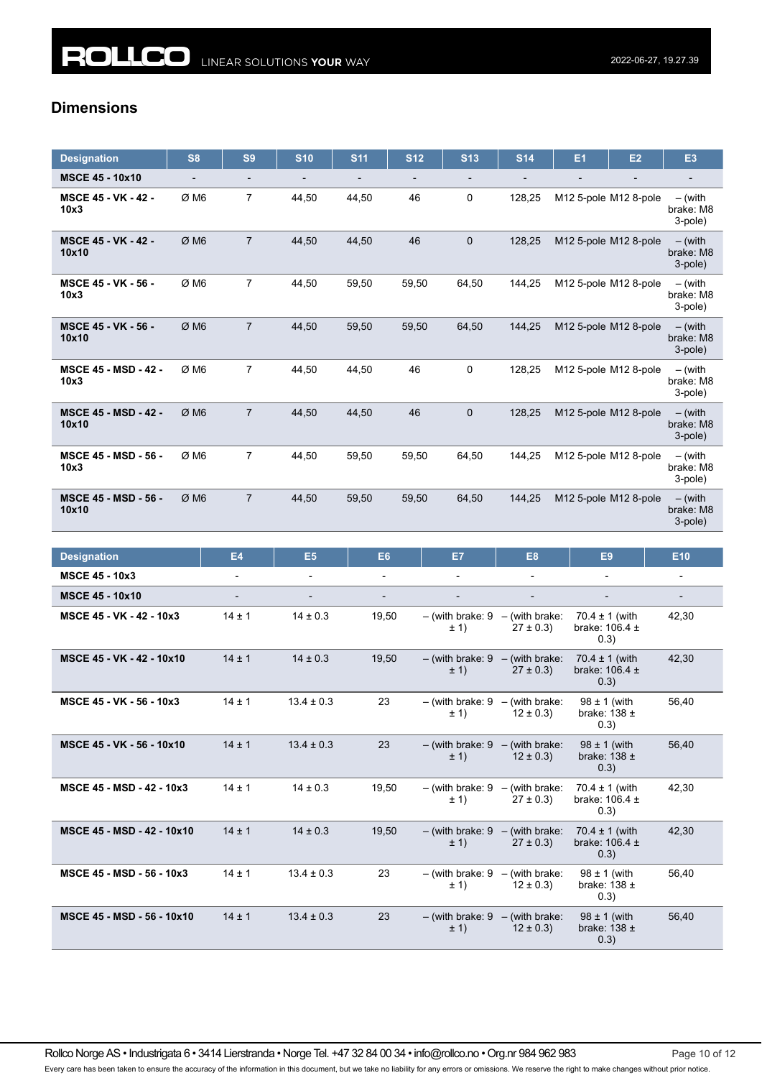| <b>Designation</b>                   | S <sub>8</sub> | S <sub>9</sub>           | <b>S10</b>               | <b>S11</b>               | <b>S12</b> | <b>S13</b>                                  | <b>S14</b>                         | E <sub>1</sub>                                   | E2                    | E <sub>3</sub>                    |
|--------------------------------------|----------------|--------------------------|--------------------------|--------------------------|------------|---------------------------------------------|------------------------------------|--------------------------------------------------|-----------------------|-----------------------------------|
| <b>MSCE 45 - 10x10</b>               |                | $\overline{\phantom{0}}$ |                          | $\overline{\phantom{a}}$ |            |                                             |                                    |                                                  |                       | $\overline{\phantom{a}}$          |
| <b>MSCE 45 - VK - 42 -</b><br>10x3   | Ø M6           | $\overline{7}$           | 44,50                    | 44,50                    | 46         | 0                                           | 128,25                             |                                                  | M12 5-pole M12 8-pole | – (with<br>brake: M8<br>3-pole)   |
| <b>MSCE 45 - VK - 42 -</b><br>10x10  | ØM6            | $\overline{7}$           | 44,50                    | 44,50                    | 46         | $\mathbf 0$                                 | 128,25                             |                                                  | M12 5-pole M12 8-pole | $-$ (with<br>brake: M8<br>3-pole) |
| <b>MSCE 45 - VK - 56 -</b><br>10x3   | Ø M6           | $\overline{7}$           | 44,50                    | 59,50                    | 59,50      | 64,50                                       | 144,25                             |                                                  | M12 5-pole M12 8-pole | – (with<br>brake: M8<br>3-pole)   |
| <b>MSCE 45 - VK - 56 -</b><br>10x10  | Ø M6           | $\overline{7}$           | 44,50                    | 59,50                    | 59,50      | 64,50                                       | 144,25                             |                                                  | M12 5-pole M12 8-pole | $-$ (with<br>brake: M8<br>3-pole) |
| <b>MSCE 45 - MSD - 42 -</b><br>10x3  | Ø M6           | $\overline{7}$           | 44,50                    | 44,50                    | 46         | 0                                           | 128,25                             |                                                  | M12 5-pole M12 8-pole | $-$ (with<br>brake: M8<br>3-pole) |
| <b>MSCE 45 - MSD - 42 -</b><br>10x10 | ØM6            | $\overline{7}$           | 44,50                    | 44,50                    | 46         | $\mathbf 0$                                 | 128,25                             |                                                  | M12 5-pole M12 8-pole | $-$ (with<br>brake: M8<br>3-pole) |
| <b>MSCE 45 - MSD - 56 -</b><br>10x3  | Ø M6           | 7                        | 44,50                    | 59,50                    | 59,50      | 64,50                                       | 144,25                             |                                                  | M12 5-pole M12 8-pole | – (with<br>brake: M8<br>3-pole)   |
| <b>MSCE 45 - MSD - 56 -</b><br>10x10 | ØM6            | $\overline{7}$           | 44,50                    | 59,50                    | 59,50      | 64,50                                       | 144,25                             |                                                  | M12 5-pole M12 8-pole | $-$ (with<br>brake: M8<br>3-pole) |
|                                      |                |                          |                          |                          |            |                                             |                                    |                                                  |                       |                                   |
| <b>Designation</b>                   |                | E4                       | E <sub>5</sub>           | E <sub>6</sub>           |            | E7                                          | E8                                 | E9                                               |                       | E10                               |
| <b>MSCE 45 - 10x3</b>                |                | $\blacksquare$           | $\blacksquare$           | $\frac{1}{2}$            |            | $\overline{\phantom{a}}$                    | $\overline{\phantom{0}}$           |                                                  |                       | $\overline{\phantom{0}}$          |
| <b>MSCE 45 - 10x10</b>               |                | $\overline{\phantom{a}}$ | $\overline{\phantom{a}}$ | $\overline{\phantom{a}}$ |            | $\overline{\phantom{a}}$                    | $\overline{\phantom{a}}$           | $\overline{\phantom{a}}$                         |                       | $\overline{\phantom{a}}$          |
| MSCE 45 - VK - 42 - 10x3             |                | $14 \pm 1$               | $14 \pm 0.3$             | 19,50                    |            | $-$ (with brake: 9 $-$ (with brake:<br>± 1) | $27 \pm 0.3$                       | $70.4 \pm 1$ (with<br>brake: $106.4 \pm$<br>0.3) |                       | 42,30                             |
| MSCE 45 - VK - 42 - 10x10            |                | $14 \pm 1$               | $14 \pm 0.3$             | 19,50                    |            | $-$ (with brake: 9 $-$ (with brake:<br>± 1) | $27 \pm 0.3$                       | $70.4 \pm 1$ (with<br>brake: $106.4 \pm$<br>0.3) |                       | 42,30                             |
| MSCE 45 - VK - 56 - 10x3             |                | $14 \pm 1$               | $13.4 \pm 0.3$           | 23                       |            | $-$ (with brake: 9 $-$ (with brake:<br>± 1) | $12 \pm 0.3$ )                     | $98 \pm 1$ (with<br>brake: $138 \pm$<br>0.3)     |                       | 56,40                             |
| MSCE 45 - VK - 56 - 10x10            |                | $14 \pm 1$               | $13.4 \pm 0.3$           | 23                       |            | $-$ (with brake: 9 $-$ (with brake:<br>± 1) | $12 \pm 0.3$                       | $98 \pm 1$ (with<br>brake: $138 \pm$<br>0.3)     |                       | 56,40                             |
| MSCE 45 - MSD - 42 - 10x3            |                | $14 \pm 1$               | $14 \pm 0.3$             | 19,50                    |            | $-$ (with brake: 9<br>± 1)                  | $-$ (with brake:<br>$27 \pm 0.3$ ) | $70.4 \pm 1$ (with<br>brake: $106.4 \pm$<br>0.3) |                       | 42,30                             |
| MSCE 45 - MSD - 42 - 10x10           |                | $14 \pm 1$               | $14 \pm 0.3$             | 19,50                    |            | $-$ (with brake: $9 -$ (with brake:<br>± 1) | $27 \pm 0.3$ )                     | $70.4 \pm 1$ (with<br>brake: $106.4 \pm$<br>0.3) |                       | 42,30                             |
| MSCE 45 - MSD - 56 - 10x3            |                | $14 \pm 1$               | $13.4 \pm 0.3$           | 23                       |            | – (with brake: 9<br>± 1)                    | - (with brake:<br>$12 \pm 0.3$     | $98 \pm 1$ (with<br>brake: $138 \pm$<br>0.3)     |                       | 56,40                             |
| MSCE 45 - MSD - 56 - 10x10           |                | $14 \pm 1$               | $13.4 \pm 0.3$           | 23                       |            | $-$ (with brake: $9$<br>± 1)                | $-$ (with brake:<br>$12 \pm 0.3$   | $98 \pm 1$ (with<br>brake: $138 \pm$<br>0.3)     |                       | 56,40                             |

Rollco Norge AS • Industrigata 6 • 3414 Lierstranda • Norge Tel. +47 32 84 00 34 • info@rollco.no • Org.nr 984 962 983 Page 10 of 12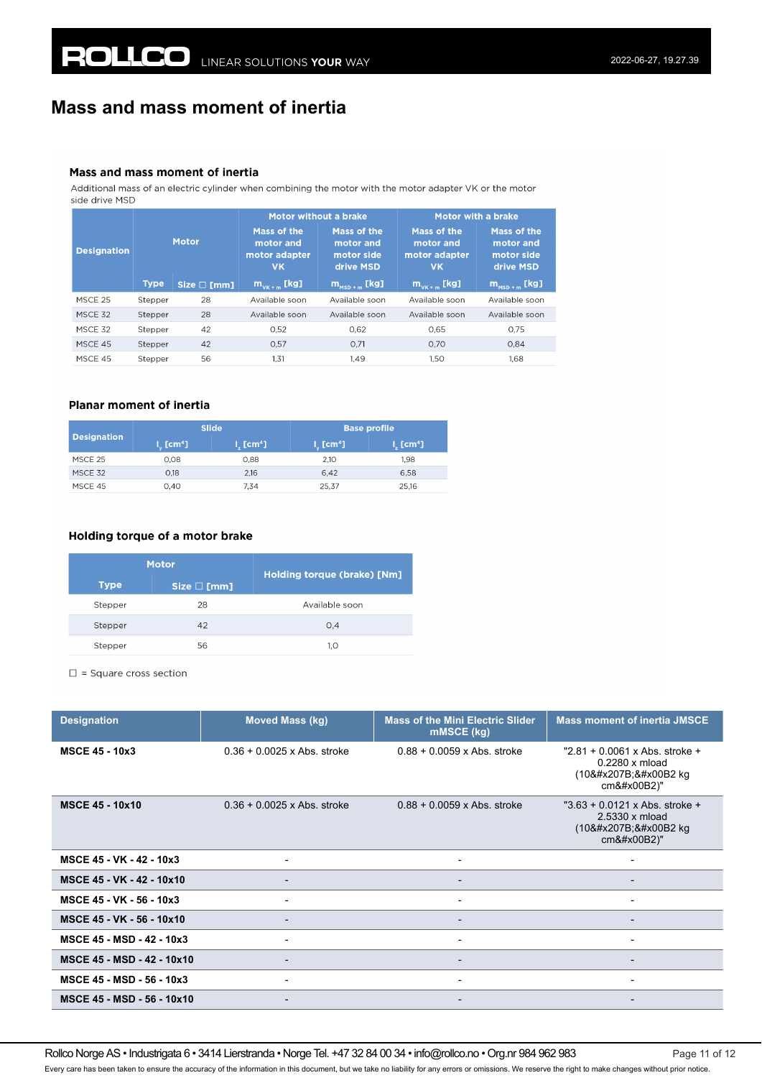### **Mass and mass moment of inertia**

#### Mass and mass moment of inertia

Additional mass of an electric cylinder when combining the motor with the motor adapter VK or the motor side drive MSD

|                    |             |                     | Motor without a brake                                  |                                                                      | Motor with a brake                                     |                                                     |
|--------------------|-------------|---------------------|--------------------------------------------------------|----------------------------------------------------------------------|--------------------------------------------------------|-----------------------------------------------------|
| <b>Designation</b> |             | <b>Motor</b>        | Mass of the<br>motor and<br>motor adapter<br><b>VK</b> | Mass of the<br>motor and<br>motor side<br>drive MSD                  | Mass of the<br>motor and<br>motor adapter<br><b>VK</b> | Mass of the<br>motor and<br>motor side<br>drive MSD |
|                    | <b>Type</b> | Size $\square$ [mm] | $\mathsf{m}_{\mathsf{vk}+\mathsf{m}}$ [kg]             | $\overline{\mathsf{m}}_{\mathsf{mso}+\mathsf{m}}$ [kg] $^\mathsf{t}$ | $m_{v_{K+m}}$ [kg]                                     | $m_{\text{MSD+m}}$ [kg]                             |
| MSCE 25            | Stepper     | 28                  | Available soon                                         | Available soon                                                       | Available soon                                         | Available soon                                      |
| MSCE 32            | Stepper     | 28                  | Available soon                                         | Available soon                                                       | Available soon                                         | Available soon                                      |
| MSCF 32            | Stepper     | 42                  | 0,52                                                   | 0.62                                                                 | 0.65                                                   | 0.75                                                |
| MSCE 45            | Stepper     | 42                  | 0.57                                                   | 0.71                                                                 | 0.70                                                   | 0.84                                                |
| MSCF 45            | Stepper     | 56                  | 1.31                                                   | 1.49                                                                 | 1.50                                                   | 1.68                                                |

### **Planar moment of inertia**

| <b>Designation</b> | <b>Slide</b>                   |                                | <b>Base profile</b>                    |                                |
|--------------------|--------------------------------|--------------------------------|----------------------------------------|--------------------------------|
|                    | $L_{\rm c}$ [cm <sup>4</sup> ] | $l_{\rm s}$ [cm <sup>4</sup> ] | $\mathsf{l}_\omega$ [cm <sup>4</sup> ] | $l_{\rm c}$ [cm <sup>4</sup> ] |
| MSCE 25            | 0.08                           | 0.88                           | 2.10                                   | 1.98                           |
| MSCE 32            | 0.18                           | 2,16                           | 6,42                                   | 6,58                           |
| MSCE 45            | 0.40                           | 7.34                           | 25,37                                  | 25.16                          |

### Holding torque of a motor brake

| <b>Motor</b> |                  | Holding torque (brake) [Nm] |  |
|--------------|------------------|-----------------------------|--|
| <b>Type</b>  | $Size \Box [mm]$ |                             |  |
| Stepper      | 28               | Available soon              |  |
| Stepper      | 42               | 0.4                         |  |
| Stepper      | 56               | 1.0                         |  |

 $\square$  = Square cross section

| <b>Designation</b>               | <b>Moved Mass (kg)</b>        | <b>Mass of the Mini Electric Slider</b><br>mMSCE (kg) | <b>Mass moment of inertia JMSCE</b>                                              |
|----------------------------------|-------------------------------|-------------------------------------------------------|----------------------------------------------------------------------------------|
| <b>MSCE 45 - 10x3</b>            | $0.36 + 0.0025$ x Abs. stroke | $0.88 + 0.0059$ x Abs. stroke                         | " $2.81 + 0.0061$ x Abs. stroke +<br>$0.2280 \times m$ load<br>(10⁻² kg<br>cm²)" |
| <b>MSCE 45 - 10x10</b>           | $0.36 + 0.0025$ x Abs. stroke | $0.88 + 0.0059$ x Abs. stroke                         | " $3.63 + 0.0121$ x Abs. stroke +<br>2.5330 x mload<br>(10⁻² kg<br>cm²)"         |
| MSCE 45 - VK - 42 - 10x3         | $\overline{\phantom{a}}$      | $\overline{\phantom{a}}$                              | $\overline{\phantom{a}}$                                                         |
| MSCE 45 - VK - 42 - 10x10        | $\overline{\phantom{a}}$      | $\blacksquare$                                        | $\overline{\phantom{0}}$                                                         |
| MSCE 45 - VK - 56 - 10x3         | $\overline{\phantom{0}}$      | $\overline{\phantom{a}}$                              | -                                                                                |
| MSCE 45 - VK - 56 - 10x10        |                               | $\overline{\phantom{a}}$                              | $\overline{\phantom{0}}$                                                         |
| <b>MSCE 45 - MSD - 42 - 10x3</b> |                               | $\blacksquare$                                        | $\overline{\phantom{0}}$                                                         |
| MSCE 45 - MSD - 42 - 10x10       | $\overline{\phantom{0}}$      | $\blacksquare$                                        | -                                                                                |
| MSCE 45 - MSD - 56 - 10x3        | $\overline{\phantom{a}}$      | $\overline{\phantom{a}}$                              | $\qquad \qquad \blacksquare$                                                     |
| MSCE 45 - MSD - 56 - 10x10       |                               | $\overline{\phantom{a}}$                              |                                                                                  |

Rollco Norge AS • Industrigata 6 • 3414 Lierstranda • Norge Tel. +47 32 84 00 34 • info@rollco.no • Org.nr 984 962 983 Page 11 of 12